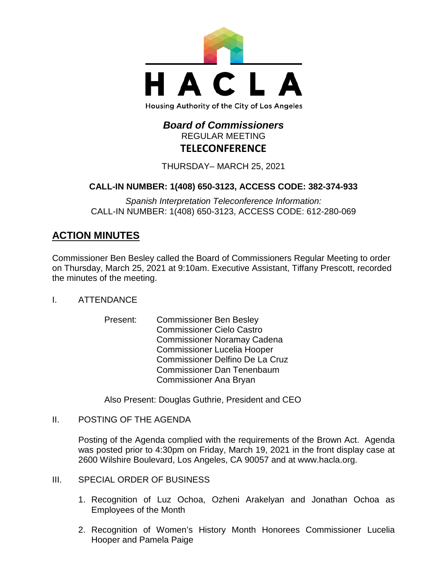

# *Board of Commissioners* REGULAR MEETING **TELECONFERENCE**

THURSDAY– MARCH 25, 2021

# **CALL-IN NUMBER: 1(408) 650-3123, ACCESS CODE: 382-374-933**

*Spanish Interpretation Teleconference Information:* CALL-IN NUMBER: 1(408) 650-3123, ACCESS CODE: 612-280-069

# **ACTION MINUTES**

Commissioner Ben Besley called the Board of Commissioners Regular Meeting to order on Thursday, March 25, 2021 at 9:10am. Executive Assistant, Tiffany Prescott, recorded the minutes of the meeting.

- I. ATTENDANCE
	- Present: Commissioner Ben Besley Commissioner Cielo Castro Commissioner Noramay Cadena Commissioner Lucelia Hooper Commissioner Delfino De La Cruz Commissioner Dan Tenenbaum Commissioner Ana Bryan

Also Present: Douglas Guthrie, President and CEO

II. POSTING OF THE AGENDA

Posting of the Agenda complied with the requirements of the Brown Act. Agenda was posted prior to 4:30pm on Friday, March 19, 2021 in the front display case at 2600 Wilshire Boulevard, Los Angeles, CA 90057 and at [www.hacla.org.](http://www.hacla.org/)

- III. SPECIAL ORDER OF BUSINESS
	- 1. Recognition of Luz Ochoa, Ozheni Arakelyan and Jonathan Ochoa as Employees of the Month
	- 2. Recognition of Women's History Month Honorees Commissioner Lucelia Hooper and Pamela Paige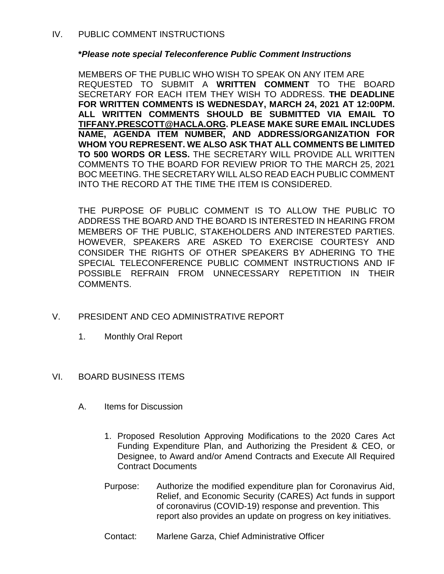#### **\****Please note special Teleconference Public Comment Instructions*

MEMBERS OF THE PUBLIC WHO WISH TO SPEAK ON ANY ITEM ARE REQUESTED TO SUBMIT A **WRITTEN COMMENT** TO THE BOARD SECRETARY FOR EACH ITEM THEY WISH TO ADDRESS. **THE DEADLINE FOR WRITTEN COMMENTS IS WEDNESDAY, MARCH 24, 2021 AT 12:00PM. ALL WRITTEN COMMENTS SHOULD BE SUBMITTED VIA EMAIL TO [TIFFANY.PRESCOTT@HACLA.ORG.](mailto:TIFFANY.PRESCOTT@HACLA.ORG) PLEASE MAKE SURE EMAIL INCLUDES NAME, AGENDA ITEM NUMBER, AND ADDRESS/ORGANIZATION FOR WHOM YOU REPRESENT. WE ALSO ASK THAT ALL COMMENTS BE LIMITED TO 500 WORDS OR LESS.** THE SECRETARY WILL PROVIDE ALL WRITTEN COMMENTS TO THE BOARD FOR REVIEW PRIOR TO THE MARCH 25, 2021 BOC MEETING. THE SECRETARY WILL ALSO READ EACH PUBLIC COMMENT INTO THE RECORD AT THE TIME THE ITEM IS CONSIDERED.

THE PURPOSE OF PUBLIC COMMENT IS TO ALLOW THE PUBLIC TO ADDRESS THE BOARD AND THE BOARD IS INTERESTED IN HEARING FROM MEMBERS OF THE PUBLIC, STAKEHOLDERS AND INTERESTED PARTIES. HOWEVER, SPEAKERS ARE ASKED TO EXERCISE COURTESY AND CONSIDER THE RIGHTS OF OTHER SPEAKERS BY ADHERING TO THE SPECIAL TELECONFERENCE PUBLIC COMMENT INSTRUCTIONS AND IF POSSIBLE REFRAIN FROM UNNECESSARY REPETITION IN THEIR COMMENTS.

- V. PRESIDENT AND CEO ADMINISTRATIVE REPORT
	- 1. Monthly Oral Report
- VI. BOARD BUSINESS ITEMS
	- A. Items for Discussion
		- 1. Proposed Resolution Approving Modifications to the 2020 Cares Act Funding Expenditure Plan, and Authorizing the President & CEO, or Designee, to Award and/or Amend Contracts and Execute All Required Contract Documents
		- Purpose: Authorize the modified expenditure plan for Coronavirus Aid, Relief, and Economic Security (CARES) Act funds in support of coronavirus (COVID-19) response and prevention. This report also provides an update on progress on key initiatives.
		- Contact: Marlene Garza, Chief Administrative Officer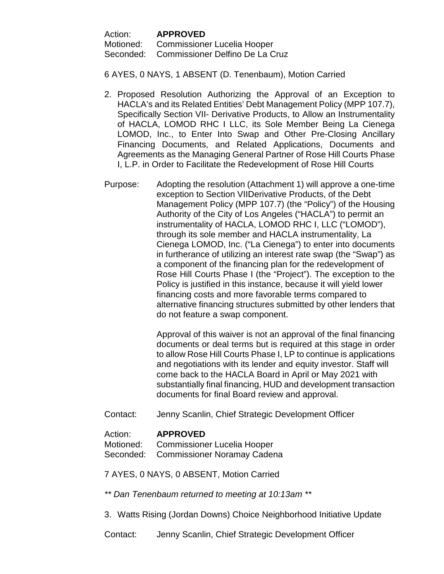Action: **APPROVED** Motioned: Commissioner Lucelia Hooper Seconded: Commissioner Delfino De La Cruz

6 AYES, 0 NAYS, 1 ABSENT (D. Tenenbaum), Motion Carried

- 2. Proposed Resolution Authorizing the Approval of an Exception to HACLA's and its Related Entities' Debt Management Policy (MPP 107.7), Specifically Section VII- Derivative Products, to Allow an Instrumentality of HACLA, LOMOD RHC I LLC, its Sole Member Being La Cienega LOMOD, Inc., to Enter Into Swap and Other Pre-Closing Ancillary Financing Documents, and Related Applications, Documents and Agreements as the Managing General Partner of Rose Hill Courts Phase I, L.P. in Order to Facilitate the Redevelopment of Rose Hill Courts
- Purpose: Adopting the resolution (Attachment 1) will approve a one-time exception to Section VIIDerivative Products, of the Debt Management Policy (MPP 107.7) (the "Policy") of the Housing Authority of the City of Los Angeles ("HACLA") to permit an instrumentality of HACLA, LOMOD RHC I, LLC ("LOMOD"), through its sole member and HACLA instrumentality, La Cienega LOMOD, Inc. ("La Cienega") to enter into documents in furtherance of utilizing an interest rate swap (the "Swap") as a component of the financing plan for the redevelopment of Rose Hill Courts Phase I (the "Project"). The exception to the Policy is justified in this instance, because it will yield lower financing costs and more favorable terms compared to alternative financing structures submitted by other lenders that do not feature a swap component.

Approval of this waiver is not an approval of the final financing documents or deal terms but is required at this stage in order to allow Rose Hill Courts Phase I, LP to continue is applications and negotiations with its lender and equity investor. Staff will come back to the HACLA Board in April or May 2021 with substantially final financing, HUD and development transaction documents for final Board review and approval.

Contact: Jenny Scanlin, Chief Strategic Development Officer

### Action: **APPROVED**

Motioned: Commissioner Lucelia Hooper Seconded: Commissioner Noramay Cadena

7 AYES, 0 NAYS, 0 ABSENT, Motion Carried

*\*\* Dan Tenenbaum returned to meeting at 10:13am \*\**

3. Watts Rising (Jordan Downs) Choice Neighborhood Initiative Update

Contact: Jenny Scanlin, Chief Strategic Development Officer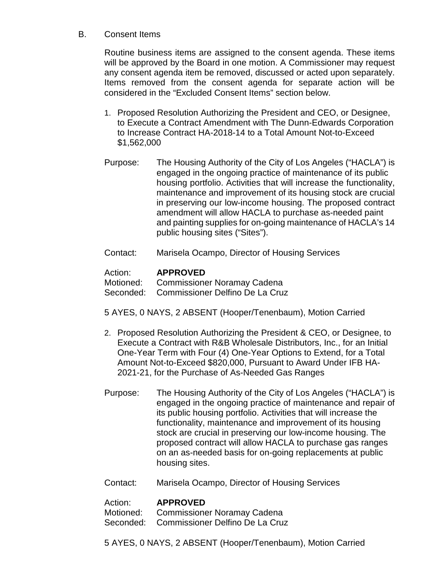### B. Consent Items

Routine business items are assigned to the consent agenda. These items will be approved by the Board in one motion. A Commissioner may request any consent agenda item be removed, discussed or acted upon separately. Items removed from the consent agenda for separate action will be considered in the "Excluded Consent Items" section below.

- 1. Proposed Resolution Authorizing the President and CEO, or Designee, to Execute a Contract Amendment with The Dunn-Edwards Corporation to Increase Contract HA-2018-14 to a Total Amount Not-to-Exceed \$1,562,000
- Purpose: The Housing Authority of the City of Los Angeles ("HACLA") is engaged in the ongoing practice of maintenance of its public housing portfolio. Activities that will increase the functionality, maintenance and improvement of its housing stock are crucial in preserving our low-income housing. The proposed contract amendment will allow HACLA to purchase as-needed paint and painting supplies for on-going maintenance of HACLA's 14 public housing sites ("Sites").
- Contact: Marisela Ocampo, Director of Housing Services

### Action: **APPROVED**

Motioned: Commissioner Noramay Cadena Seconded: Commissioner Delfino De La Cruz

- 5 AYES, 0 NAYS, 2 ABSENT (Hooper/Tenenbaum), Motion Carried
- 2. Proposed Resolution Authorizing the President & CEO, or Designee, to Execute a Contract with R&B Wholesale Distributors, Inc., for an Initial One-Year Term with Four (4) One-Year Options to Extend, for a Total Amount Not-to-Exceed \$820,000, Pursuant to Award Under IFB HA-2021-21, for the Purchase of As-Needed Gas Ranges
- Purpose: The Housing Authority of the City of Los Angeles ("HACLA") is engaged in the ongoing practice of maintenance and repair of its public housing portfolio. Activities that will increase the functionality, maintenance and improvement of its housing stock are crucial in preserving our low-income housing. The proposed contract will allow HACLA to purchase gas ranges on an as-needed basis for on-going replacements at public housing sites.
- Contact: Marisela Ocampo, Director of Housing Services

### Action: **APPROVED**

Motioned: Commissioner Noramay Cadena

Seconded: Commissioner Delfino De La Cruz

5 AYES, 0 NAYS, 2 ABSENT (Hooper/Tenenbaum), Motion Carried